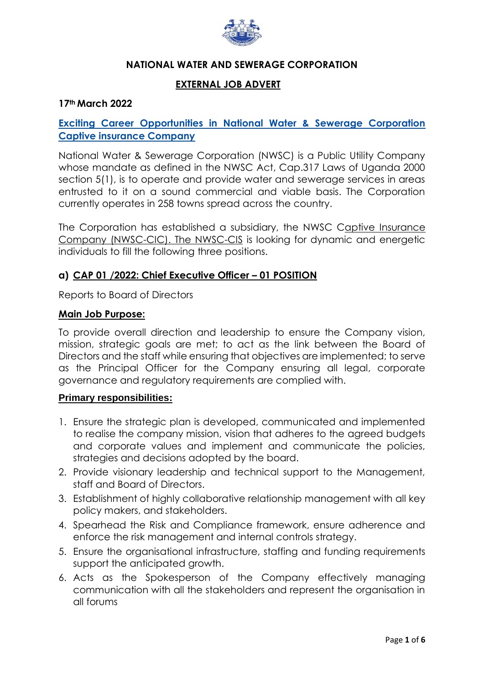

### **NATIONAL WATER AND SEWERAGE CORPORATION**

### **EXTERNAL JOB ADVERT**

#### **17th March 2022**

## **Exciting Career Opportunities in National Water & Sewerage Corporation Captive insurance Company**

National Water & Sewerage Corporation (NWSC) is a Public Utility Company whose mandate as defined in the NWSC Act, Cap.317 Laws of Uganda 2000 section 5(1), is to operate and provide water and sewerage services in areas entrusted to it on a sound commercial and viable basis. The Corporation currently operates in 258 towns spread across the country.

The Corporation has established a subsidiary, the NWSC Captive Insurance Company (NWSC-CIC). The NWSC-CIS is looking for dynamic and energetic individuals to fill the following three positions.

### **a) CAP 01 /2022: Chief Executive Officer – 01 POSITION**

Reports to Board of Directors

#### **Main Job Purpose:**

To provide overall direction and leadership to ensure the Company vision, mission, strategic goals are met; to act as the link between the Board of Directors and the staff while ensuring that objectives are implemented; to serve as the Principal Officer for the Company ensuring all legal, corporate governance and regulatory requirements are complied with.

#### **Primary responsibilities:**

- 1. Ensure the strategic plan is developed, communicated and implemented to realise the company mission, vision that adheres to the agreed budgets and corporate values and implement and communicate the policies, strategies and decisions adopted by the board.
- 2. Provide visionary leadership and technical support to the Management, staff and Board of Directors.
- 3. Establishment of highly collaborative relationship management with all key policy makers, and stakeholders.
- 4. Spearhead the Risk and Compliance framework, ensure adherence and enforce the risk management and internal controls strategy.
- 5. Ensure the organisational infrastructure, staffing and funding requirements support the anticipated growth.
- 6. Acts as the Spokesperson of the Company effectively managing communication with all the stakeholders and represent the organisation in all forums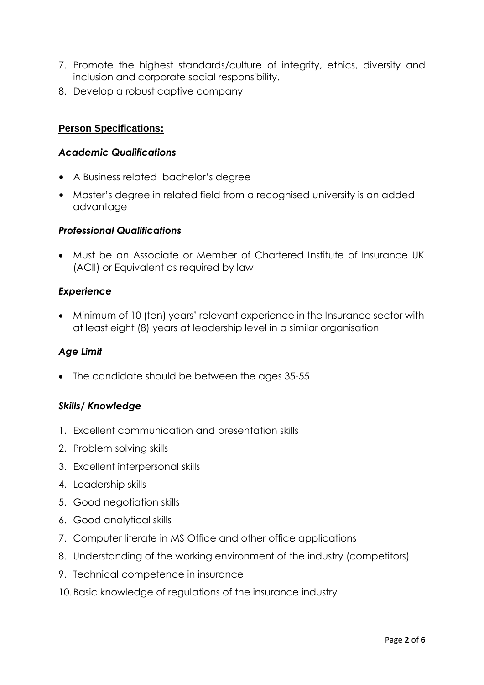- 7. Promote the highest standards/culture of integrity, ethics, diversity and inclusion and corporate social responsibility.
- 8. Develop a robust captive company

# **Person Specifications:**

# *Academic Qualifications*

- A Business related bachelor's degree
- Master's degree in related field from a recognised university is an added advantage

### *Professional Qualifications*

 Must be an Associate or Member of Chartered Institute of Insurance UK (ACII) or Equivalent as required by law

## *Experience*

 Minimum of 10 (ten) years' relevant experience in the Insurance sector with at least eight (8) years at leadership level in a similar organisation

## *Age Limit*

• The candidate should be between the ages 35-55

### *Skills/ Knowledge*

- 1. Excellent communication and presentation skills
- 2. Problem solving skills
- 3. Excellent interpersonal skills
- 4. Leadership skills
- 5. Good negotiation skills
- 6. Good analytical skills
- 7. Computer literate in MS Office and other office applications
- 8. Understanding of the working environment of the industry (competitors)
- 9. Technical competence in insurance
- 10.Basic knowledge of regulations of the insurance industry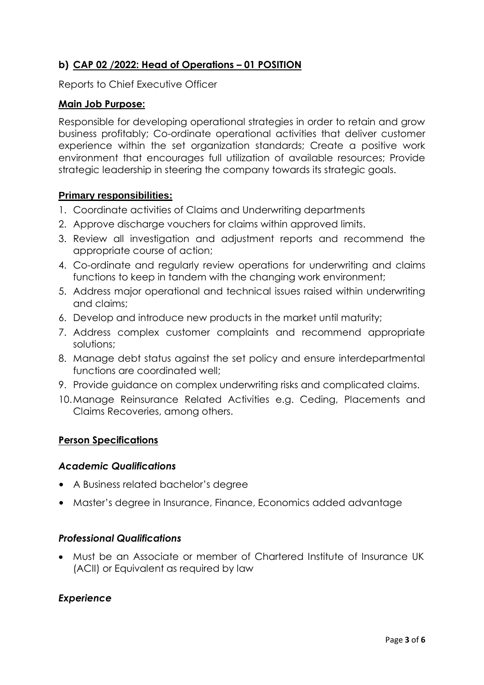# **b) CAP 02 /2022: Head of Operations – 01 POSITION**

Reports to Chief Executive Officer

### **Main Job Purpose:**

Responsible for developing operational strategies in order to retain and grow business profitably; Co-ordinate operational activities that deliver customer experience within the set organization standards; Create a positive work environment that encourages full utilization of available resources; Provide strategic leadership in steering the company towards its strategic goals.

### **Primary responsibilities:**

- 1. Coordinate activities of Claims and Underwriting departments
- 2. Approve discharge vouchers for claims within approved limits.
- 3. Review all investigation and adjustment reports and recommend the appropriate course of action;
- 4. Co-ordinate and regularly review operations for underwriting and claims functions to keep in tandem with the changing work environment;
- 5. Address major operational and technical issues raised within underwriting and claims;
- 6. Develop and introduce new products in the market until maturity;
- 7. Address complex customer complaints and recommend appropriate solutions;
- 8. Manage debt status against the set policy and ensure interdepartmental functions are coordinated well;
- 9. Provide guidance on complex underwriting risks and complicated claims.
- 10.Manage Reinsurance Related Activities e.g. Ceding, Placements and Claims Recoveries, among others.

## **Person Specifications**

### *Academic Qualifications*

- A Business related bachelor's degree
- Master's degree in Insurance, Finance, Economics added advantage

### *Professional Qualifications*

 Must be an Associate or member of Chartered Institute of Insurance UK (ACII) or Equivalent as required by law

### *Experience*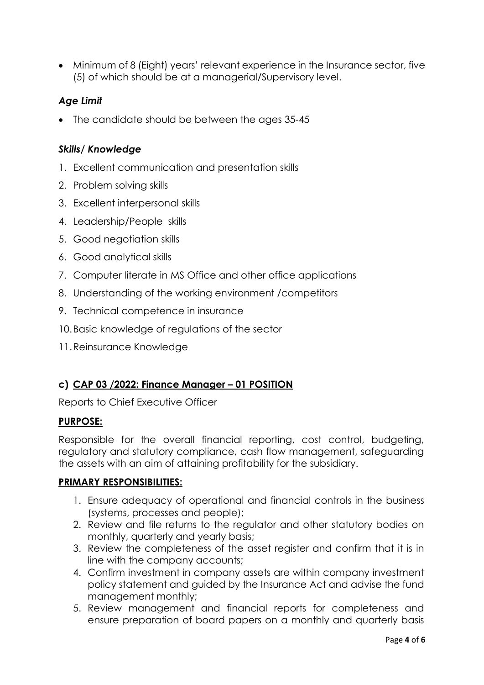Minimum of 8 (Eight) years' relevant experience in the Insurance sector, five (5) of which should be at a managerial/Supervisory level.

# *Age Limit*

• The candidate should be between the ages 35-45

### *Skills/ Knowledge*

- 1. Excellent communication and presentation skills
- 2. Problem solving skills
- 3. Excellent interpersonal skills
- 4. Leadership/People skills
- 5. Good negotiation skills
- 6. Good analytical skills
- 7. Computer literate in MS Office and other office applications
- 8. Understanding of the working environment /competitors
- 9. Technical competence in insurance
- 10.Basic knowledge of regulations of the sector
- 11.Reinsurance Knowledge

## **c) CAP 03 /2022: Finance Manager – 01 POSITION**

Reports to Chief Executive Officer

### **PURPOSE:**

Responsible for the overall financial reporting, cost control, budgeting, regulatory and statutory compliance, cash flow management, safeguarding the assets with an aim of attaining profitability for the subsidiary.

### **PRIMARY RESPONSIBILITIES:**

- 1. Ensure adequacy of operational and financial controls in the business (systems, processes and people);
- 2. Review and file returns to the regulator and other statutory bodies on monthly, quarterly and yearly basis;
- 3. Review the completeness of the asset register and confirm that it is in line with the company accounts;
- 4. Confirm investment in company assets are within company investment policy statement and guided by the Insurance Act and advise the fund management monthly;
- 5. Review management and financial reports for completeness and ensure preparation of board papers on a monthly and quarterly basis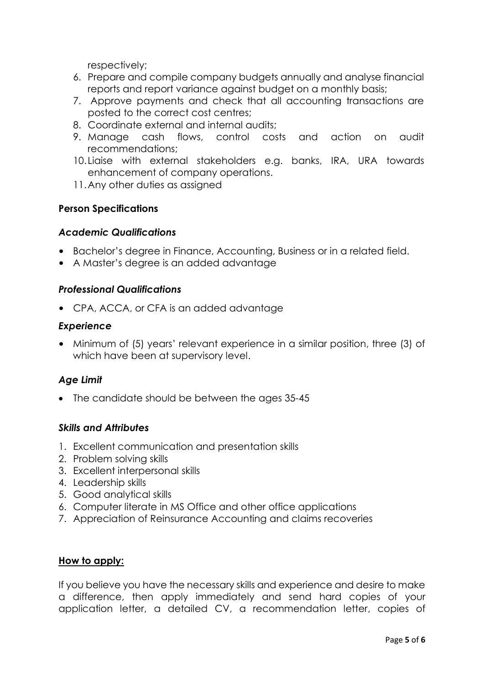respectively;

- 6. Prepare and compile company budgets annually and analyse financial reports and report variance against budget on a monthly basis;
- 7. Approve payments and check that all accounting transactions are posted to the correct cost centres;
- 8. Coordinate external and internal audits;
- 9. Manage cash flows, control costs and action on audit recommendations;
- 10.Liaise with external stakeholders e.g. banks, IRA, URA towards enhancement of company operations.
- 11.Any other duties as assigned

### **Person Specifications**

### *Academic Qualifications*

- Bachelor's degree in Finance, Accounting, Business or in a related field.
- A Master's degree is an added advantage

### *Professional Qualifications*

• CPA, ACCA, or CFA is an added advantage

#### *Experience*

• Minimum of (5) years' relevant experience in a similar position, three (3) of which have been at supervisory level.

### *Age Limit*

• The candidate should be between the ages 35-45

### *Skills and Attributes*

- 1. Excellent communication and presentation skills
- 2. Problem solving skills
- 3. Excellent interpersonal skills
- 4. Leadership skills
- 5. Good analytical skills
- 6. Computer literate in MS Office and other office applications
- 7. Appreciation of Reinsurance Accounting and claims recoveries

#### **How to apply:**

If you believe you have the necessary skills and experience and desire to make a difference, then apply immediately and send hard copies of your application letter, a detailed CV, a recommendation letter, copies of